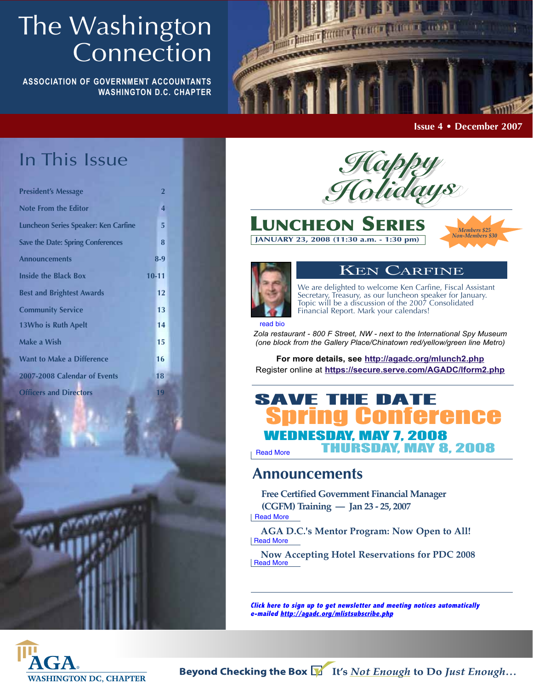# The Washington Connection

**ASSOCIATION OF GOVERNMENT ACCOUNTANTS WASHINGTON D.C. CHAPTER**



**Issue 4 • December 2007**

# In This Issue

| <b>President's Message</b>               | $\overline{2}$ |
|------------------------------------------|----------------|
| <b>Note From the Editor</b>              | 4              |
| Luncheon Series Speaker: Ken Carfine     | 5              |
| <b>Save the Date: Spring Conferences</b> | 8              |
| <b>Announcements</b>                     | $8-9$          |
| <b>Inside the Black Box</b>              | $10 - 11$      |
| <b>Best and Brightest Awards</b>         | 12             |
| <b>Community Service</b>                 | 13             |
| <b>13Who is Ruth Apelt</b>               | 14             |
| Make a Wish                              | 15             |
| <b>Want to Make a Difference</b>         | 16             |
| 2007-2008 Calendar of Events             | 18             |
| <b>Officers and Directors</b>            | 19             |



**LUNCHEON SERIES**

**JANUARY 23, 2008 (11:30 a.m. - 1:30 pm)**





## KEN CARFINE

We are delighted to welcome Ken Carfine, Fiscal Assistant Secretary, Treasury, as our luncheon speaker for January. Topic will be a discussion of the 2007 Consolidated Financial Report. Mark your calendars!

read bio

*Zola restaurant - 800 F Street, NW - next to the International Spy Museum (one block from the Gallery Place/Chinatown red/yellow/green line Metro)*

**For more details, see http://agadc.org/mlunch2.php** Register online at **https://secure.serve.com/AGADC/lform2.php**

## SAVE THE DATE<br>Spring Conference WEDNESDAY, MAY 7, 2008 THURSDAY, MAY 8, 2008 SAVE THE DATE Read More

## **Announcements**

**Free Certified Government Financial Manager (CGFM) Training — Jan 23 - 25, 2007**

Read More

**AGA D.C.'s Mentor Program: Now Open to All!** Read More

**Now Accepting Hotel Reservations for PDC 2008** Read More

**Click here to sign up to get newsletter and meeting notices automatically e-mailed http://agadc.org/mlistsubscribe.php**

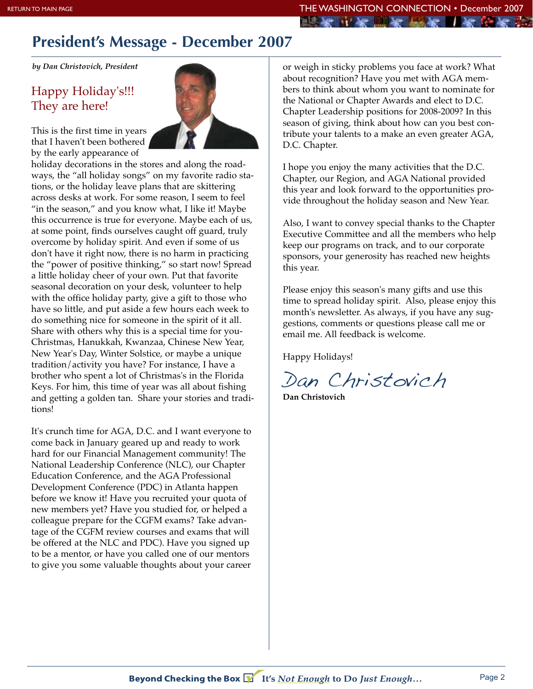# **President's Message - December 2007**

*by Dan Christovich, President*

## Happy Holiday's!!! They are here!



This is the first time in years that I haven't been bothered by the early appearance of

holiday decorations in the stores and along the roadways, the "all holiday songs" on my favorite radio stations, or the holiday leave plans that are skittering across desks at work. For some reason, I seem to feel "in the season," and you know what, I like it! Maybe this occurrence is true for everyone. Maybe each of us, at some point, finds ourselves caught off guard, truly overcome by holiday spirit. And even if some of us don't have it right now, there is no harm in practicing the "power of positive thinking," so start now! Spread a little holiday cheer of your own. Put that favorite seasonal decoration on your desk, volunteer to help with the office holiday party, give a gift to those who have so little, and put aside a few hours each week to do something nice for someone in the spirit of it all. Share with others why this is a special time for you-Christmas, Hanukkah, Kwanzaa, Chinese New Year, New Year's Day, Winter Solstice, or maybe a unique tradition/activity you have? For instance, I have a brother who spent a lot of Christmas's in the Florida Keys. For him, this time of year was all about fishing and getting a golden tan. Share your stories and traditions!

It's crunch time for AGA, D.C. and I want everyone to come back in January geared up and ready to work hard for our Financial Management community! The National Leadership Conference (NLC), our Chapter Education Conference, and the AGA Professional Development Conference (PDC) in Atlanta happen before we know it! Have you recruited your quota of new members yet? Have you studied for, or helped a colleague prepare for the CGFM exams? Take advantage of the CGFM review courses and exams that will be offered at the NLC and PDC). Have you signed up to be a mentor, or have you called one of our mentors to give you some valuable thoughts about your career

or weigh in sticky problems you face at work? What about recognition? Have you met with AGA members to think about whom you want to nominate for the National or Chapter Awards and elect to D.C. Chapter Leadership positions for 2008-2009? In this season of giving, think about how can you best contribute your talents to a make an even greater AGA, D.C. Chapter.

I hope you enjoy the many activities that the D.C. Chapter, our Region, and AGA National provided this year and look forward to the opportunities provide throughout the holiday season and New Year.

Also, I want to convey special thanks to the Chapter Executive Committee and all the members who help keep our programs on track, and to our corporate sponsors, your generosity has reached new heights this year.

Please enjoy this season's many gifts and use this time to spread holiday spirit. Also, please enjoy this month's newsletter. As always, if you have any suggestions, comments or questions please call me or email me. All feedback is welcome.

Happy Holidays!

Dan Christovich

**Dan Christovich**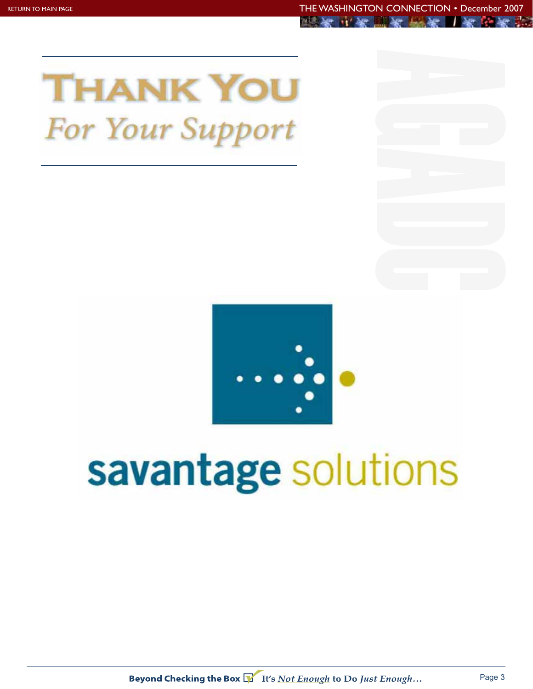



# savantage solutions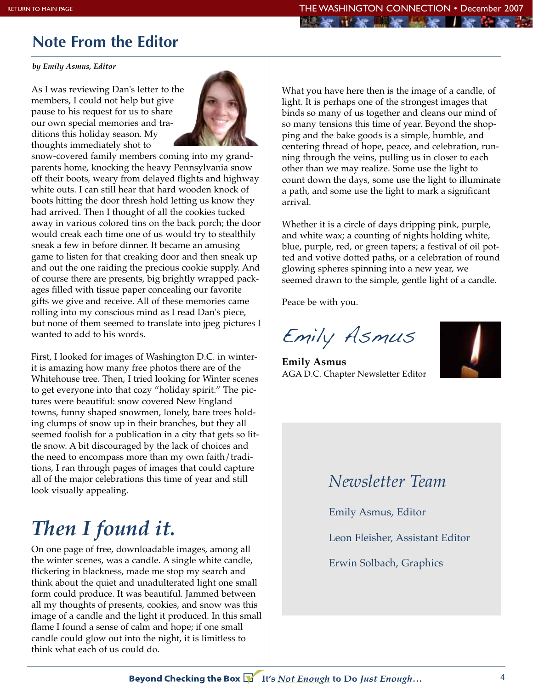# **Note From the Editor**

*by Emily Asmus, Editor*

As I was reviewing Dan's letter to the members, I could not help but give pause to his request for us to share our own special memories and traditions this holiday season. My thoughts immediately shot to



snow-covered family members coming into my grandparents home, knocking the heavy Pennsylvania snow off their boots, weary from delayed flights and highway white outs. I can still hear that hard wooden knock of boots hitting the door thresh hold letting us know they had arrived. Then I thought of all the cookies tucked away in various colored tins on the back porch; the door would creak each time one of us would try to stealthily sneak a few in before dinner. It became an amusing game to listen for that creaking door and then sneak up and out the one raiding the precious cookie supply. And of course there are presents, big brightly wrapped packages filled with tissue paper concealing our favorite gifts we give and receive. All of these memories came rolling into my conscious mind as I read Dan's piece, but none of them seemed to translate into jpeg pictures I wanted to add to his words.

First, I looked for images of Washington D.C. in winterit is amazing how many free photos there are of the Whitehouse tree. Then, I tried looking for Winter scenes to get everyone into that cozy "holiday spirit." The pictures were beautiful: snow covered New England towns, funny shaped snowmen, lonely, bare trees holding clumps of snow up in their branches, but they all seemed foolish for a publication in a city that gets so little snow. A bit discouraged by the lack of choices and the need to encompass more than my own faith/traditions, I ran through pages of images that could capture all of the major celebrations this time of year and still look visually appealing.

# *Then I found it.*

On one page of free, downloadable images, among all the winter scenes, was a candle. A single white candle, flickering in blackness, made me stop my search and think about the quiet and unadulterated light one small form could produce. It was beautiful. Jammed between all my thoughts of presents, cookies, and snow was this image of a candle and the light it produced. In this small flame I found a sense of calm and hope; if one small candle could glow out into the night, it is limitless to think what each of us could do.

What you have here then is the image of a candle, of light. It is perhaps one of the strongest images that binds so many of us together and cleans our mind of so many tensions this time of year. Beyond the shopping and the bake goods is a simple, humble, and centering thread of hope, peace, and celebration, running through the veins, pulling us in closer to each other than we may realize. Some use the light to count down the days, some use the light to illuminate a path, and some use the light to mark a significant arrival.

Whether it is a circle of days dripping pink, purple, and white wax; a counting of nights holding white, blue, purple, red, or green tapers; a festival of oil potted and votive dotted paths, or a celebration of round glowing spheres spinning into a new year, we seemed drawn to the simple, gentle light of a candle.

Peace be with you.

Emily Asmus

**Emily Asmus** AGA D.C. Chapter Newsletter Editor



# *Newsletter Team*

Emily Asmus, Editor

Leon Fleisher, Assistant Editor

Erwin Solbach, Graphics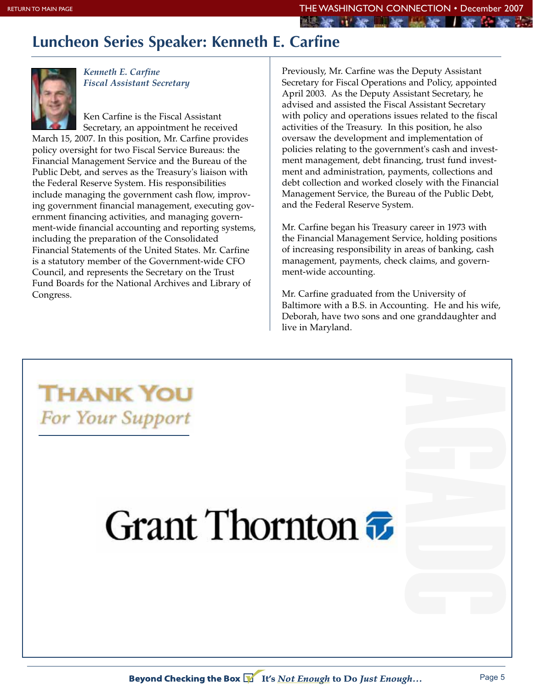The last of the line and the second that is

## **Luncheon Series Speaker: Kenneth E. Carfine**



*Kenneth E. Carfine Fiscal Assistant Secretary*

Ken Carfine is the Fiscal Assistant Secretary, an appointment he received

March 15, 2007. In this position, Mr. Carfine provides policy oversight for two Fiscal Service Bureaus: the Financial Management Service and the Bureau of the Public Debt, and serves as the Treasury's liaison with the Federal Reserve System. His responsibilities include managing the government cash flow, improving government financial management, executing government financing activities, and managing government-wide financial accounting and reporting systems, including the preparation of the Consolidated Financial Statements of the United States. Mr. Carfine is a statutory member of the Government-wide CFO Council, and represents the Secretary on the Trust Fund Boards for the National Archives and Library of Congress.

Previously, Mr. Carfine was the Deputy Assistant Secretary for Fiscal Operations and Policy, appointed April 2003. As the Deputy Assistant Secretary, he advised and assisted the Fiscal Assistant Secretary with policy and operations issues related to the fiscal activities of the Treasury. In this position, he also oversaw the development and implementation of policies relating to the government's cash and investment management, debt financing, trust fund investment and administration, payments, collections and debt collection and worked closely with the Financial Management Service, the Bureau of the Public Debt, and the Federal Reserve System.

Mr. Carfine began his Treasury career in 1973 with the Financial Management Service, holding positions of increasing responsibility in areas of banking, cash management, payments, check claims, and government-wide accounting.

Mr. Carfine graduated from the University of Baltimore with a B.S. in Accounting. He and his wife, Deborah, have two sons and one granddaughter and live in Maryland.

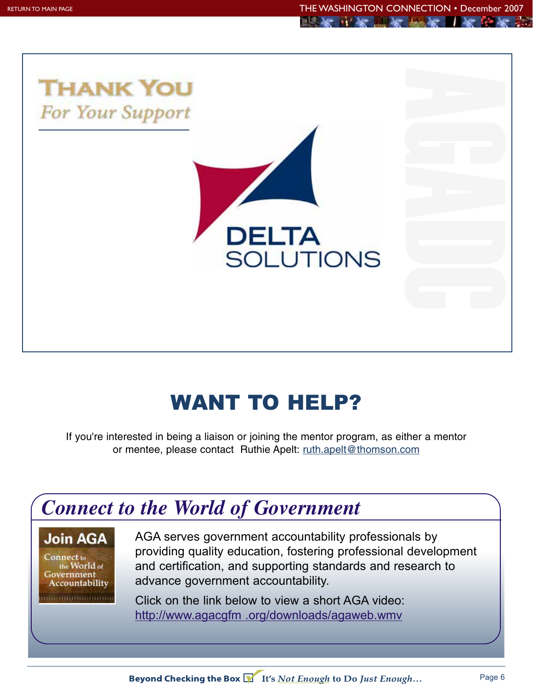

# WANT TO HELP?

If you're interested in being a liaison or joining the mentor program, as either a mentor or mentee, please contact Ruthie Apelt: ruth.apelt@thomson.com



Beyond Checking the Box VII's Not Enough to Do Just Enough...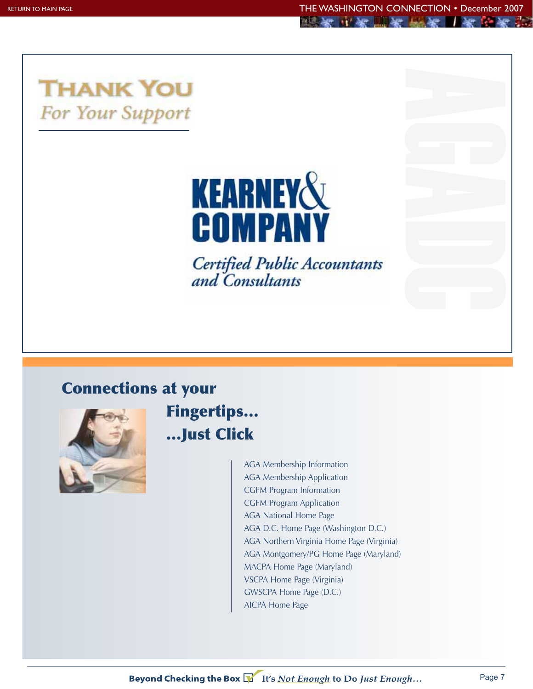



**Certified Public Accountants** and Consultants

# **Connections at your**



**Fingertips… …Just Click**

> AGA Membership Information AGA Membership Application CGFM Program Information CGFM Program Application AGA National Home Page AGA D.C. Home Page (Washington D.C.) AGA Northern Virginia Home Page (Virginia) AGA Montgomery/PG Home Page (Maryland) MACPA Home Page (Maryland) VSCPA Home Page (Virginia) GWSCPA Home Page (D.C.) AICPA Home Page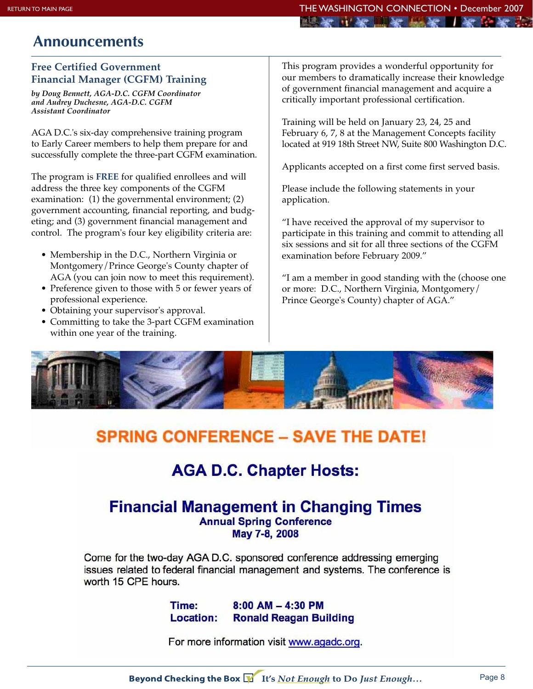## **Announcements**

## **Free Certified Government Financial Manager (CGFM) Training**

*by Doug Bennett, AGA-D.C. CGFM Coordinator and Audrey Duchesne, AGA-D.C. CGFM Assistant Coordinator*

AGA D.C.'s six-day comprehensive training program to Early Career members to help them prepare for and successfully complete the three-part CGFM examination.

The program is **FREE** for qualified enrollees and will address the three key components of the CGFM examination: (1) the governmental environment; (2) government accounting, financial reporting, and budgeting; and (3) government financial management and control. The program's four key eligibility criteria are:

- Membership in the D.C., Northern Virginia or Montgomery/Prince George's County chapter of AGA (you can join now to meet this requirement).
- Preference given to those with 5 or fewer years of professional experience.
- Obtaining your supervisor's approval.
- Committing to take the 3-part CGFM examination within one year of the training.

This program provides a wonderful opportunity for our members to dramatically increase their knowledge of government financial management and acquire a critically important professional certification.

Training will be held on January 23, 24, 25 and February 6, 7, 8 at the Management Concepts facility located at 919 18th Street NW, Suite 800 Washington D.C.

Applicants accepted on a first come first served basis.

Please include the following statements in your application.

"I have received the approval of my supervisor to participate in this training and commit to attending all six sessions and sit for all three sections of the CGFM examination before February 2009."

"I am a member in good standing with the (choose one or more: D.C., Northern Virginia, Montgomery/ Prince George's County) chapter of AGA."



# **SPRING CONFERENCE - SAVE THE DATE!**

# **AGA D.C. Chapter Hosts:**

## **Financial Management in Changing Times Annual Spring Conference** May 7-8, 2008

Come for the two-day AGA D.C. sponsored conference addressing emerging issues related to federal financial management and systems. The conference is worth 15 CPE hours.

> $8:00$  AM  $-$  4:30 PM Time: **Location: Ronald Reagan Building**

For more information visit www.agadc.org.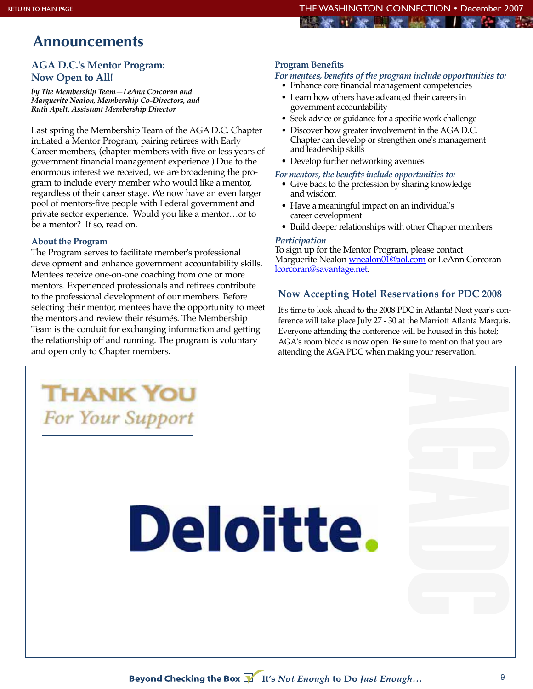## mill have and have intil have think have

## **Announcements**

## **AGA D.C.'s Mentor Program: Now Open to All!**

*by The Membership Team—LeAnn Corcoran and Marguerite Nealon, Membership Co-Directors, and Ruth Apelt, Assistant Membership Director*

Last spring the Membership Team of the AGA D.C. Chapter initiated a Mentor Program, pairing retirees with Early Career members, (chapter members with five or less years of government financial management experience.) Due to the enormous interest we received, we are broadening the program to include every member who would like a mentor, regardless of their career stage. We now have an even larger pool of mentors-five people with Federal government and private sector experience. Would you like a mentor…or to be a mentor? If so, read on.

#### **About the Program**

The Program serves to facilitate member's professional development and enhance government accountability skills. Mentees receive one-on-one coaching from one or more mentors. Experienced professionals and retirees contribute to the professional development of our members. Before selecting their mentor, mentees have the opportunity to meet the mentors and review their résumés. The Membership Team is the conduit for exchanging information and getting the relationship off and running. The program is voluntary and open only to Chapter members.

**THANK YOU** 

For Your Support

## **Program Benefits**

#### *For mentees, benefits of the program include opportunities to:*

- Enhance core financial management competencies
- Learn how others have advanced their careers in government accountability
- Seek advice or guidance for a specific work challenge
- Discover how greater involvement in the AGA D.C. Chapter can develop or strengthen one's management and leadership skills
- Develop further networking avenues

#### *For mentors, the benefits include opportunities to:*

- Give back to the profession by sharing knowledge and wisdom
- Have a meaningful impact on an individual's career development
- Build deeper relationships with other Chapter members

#### *Participation*

To sign up for the Mentor Program, please contact Marguerite Nealon wnealon01@aol.com or LeAnn Corcoran lcorcoran@savantage.net.

## **Now Accepting Hotel Reservations for PDC 2008**

It's time to look ahead to the 2008 PDC in Atlanta! Next year's conference will take place July 27 - 30 at the Marriott Atlanta Marquis. Everyone attending the conference will be housed in this hotel; AGA's room block is now open. Be sure to mention that you are attending the AGA PDC when making your reservation.

# **Deloitte.**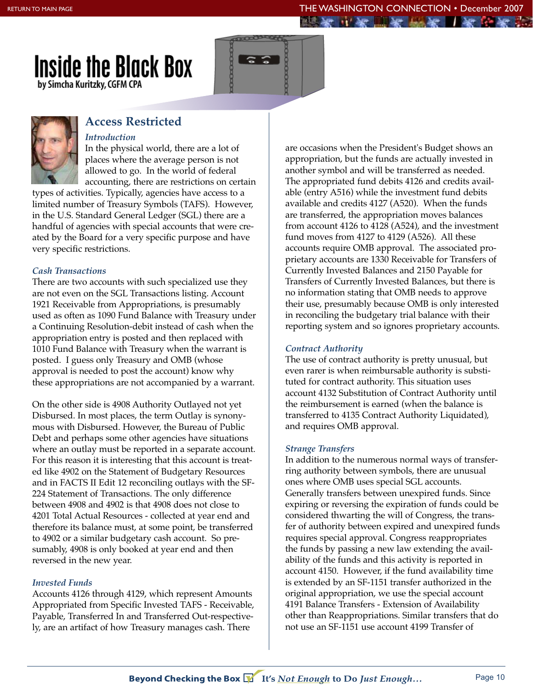



## **Access Restricted** *Introduction*

In the physical world, there are a lot of places where the average person is not allowed to go. In the world of federal accounting, there are restrictions on certain

types of activities. Typically, agencies have access to a limited number of Treasury Symbols (TAFS). However, in the U.S. Standard General Ledger (SGL) there are a handful of agencies with special accounts that were created by the Board for a very specific purpose and have very specific restrictions.

## *Cash Transactions*

There are two accounts with such specialized use they are not even on the SGL Transactions listing. Account 1921 Receivable from Appropriations, is presumably used as often as 1090 Fund Balance with Treasury under a Continuing Resolution-debit instead of cash when the appropriation entry is posted and then replaced with 1010 Fund Balance with Treasury when the warrant is posted. I guess only Treasury and OMB (whose approval is needed to post the account) know why these appropriations are not accompanied by a warrant.

On the other side is 4908 Authority Outlayed not yet Disbursed. In most places, the term Outlay is synonymous with Disbursed. However, the Bureau of Public Debt and perhaps some other agencies have situations where an outlay must be reported in a separate account. For this reason it is interesting that this account is treated like 4902 on the Statement of Budgetary Resources and in FACTS II Edit 12 reconciling outlays with the SF-224 Statement of Transactions. The only difference between 4908 and 4902 is that 4908 does not close to 4201 Total Actual Resources - collected at year end and therefore its balance must, at some point, be transferred to 4902 or a similar budgetary cash account. So presumably, 4908 is only booked at year end and then reversed in the new year.

## *Invested Funds*

Accounts 4126 through 4129, which represent Amounts Appropriated from Specific Invested TAFS - Receivable, Payable, Transferred In and Transferred Out-respectively, are an artifact of how Treasury manages cash. There

are occasions when the President's Budget shows an appropriation, but the funds are actually invested in another symbol and will be transferred as needed. The appropriated fund debits 4126 and credits available (entry A516) while the investment fund debits available and credits 4127 (A520). When the funds are transferred, the appropriation moves balances from account 4126 to 4128 (A524), and the investment fund moves from 4127 to 4129 (A526). All these accounts require OMB approval. The associated proprietary accounts are 1330 Receivable for Transfers of Currently Invested Balances and 2150 Payable for Transfers of Currently Invested Balances, but there is no information stating that OMB needs to approve their use, presumably because OMB is only interested in reconciling the budgetary trial balance with their reporting system and so ignores proprietary accounts.

## *Contract Authority*

The use of contract authority is pretty unusual, but even rarer is when reimbursable authority is substituted for contract authority. This situation uses account 4132 Substitution of Contract Authority until the reimbursement is earned (when the balance is transferred to 4135 Contract Authority Liquidated), and requires OMB approval.

## *Strange Transfers*

In addition to the numerous normal ways of transferring authority between symbols, there are unusual ones where OMB uses special SGL accounts. Generally transfers between unexpired funds. Since expiring or reversing the expiration of funds could be considered thwarting the will of Congress, the transfer of authority between expired and unexpired funds requires special approval. Congress reappropriates the funds by passing a new law extending the availability of the funds and this activity is reported in account 4150. However, if the fund availability time is extended by an SF-1151 transfer authorized in the original appropriation, we use the special account 4191 Balance Transfers - Extension of Availability other than Reappropriations. Similar transfers that do not use an SF-1151 use account 4199 Transfer of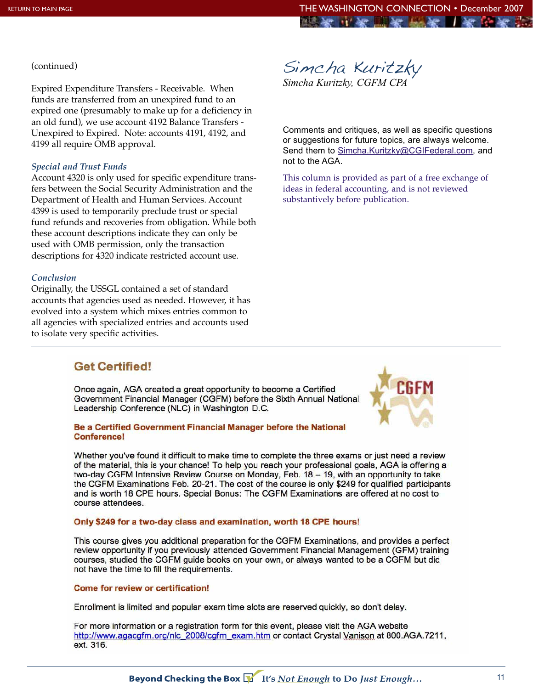#### (continued)

Expired Expenditure Transfers - Receivable. When funds are transferred from an unexpired fund to an expired one (presumably to make up for a deficiency in an old fund), we use account 4192 Balance Transfers - Unexpired to Expired. Note: accounts 4191, 4192, and 4199 all require OMB approval.

#### *Special and Trust Funds*

Account 4320 is only used for specific expenditure transfers between the Social Security Administration and the Department of Health and Human Services. Account 4399 is used to temporarily preclude trust or special fund refunds and recoveries from obligation. While both these account descriptions indicate they can only be used with OMB permission, only the transaction descriptions for 4320 indicate restricted account use.

#### *Conclusion*

Originally, the USSGL contained a set of standard accounts that agencies used as needed. However, it has evolved into a system which mixes entries common to all agencies with specialized entries and accounts used to isolate very specific activities.

Simcha Kuritzky *Simcha Kuritzky, CGFM CPA*

Comments and critiques, as well as specific questions or suggestions for future topics, are always welcome. Send them to Simcha.Kuritzky@CGIFederal.com, and not to the AGA.

This column is provided as part of a free exchange of ideas in federal accounting, and is not reviewed substantively before publication.

## **Get Certified!**

Once again, AGA created a great opportunity to become a Certified Government Financial Manager (CGFM) before the Sixth Annual National Leadership Conference (NLC) in Washington D.C.

#### Be a Certified Government Financial Manager before the National **Conference!**

Whether you've found it difficult to make time to complete the three exams or just need a review of the material, this is your chance! To help you reach your professional goals, AGA is offering a two-day CGFM Intensive Review Course on Monday, Feb. 18 - 19, with an opportunity to take the CGFM Examinations Feb. 20-21. The cost of the course is only \$249 for qualified participants and is worth 18 CPE hours. Special Bonus: The CGFM Examinations are offered at no cost to course attendees.

#### Only \$249 for a two-day class and examination, worth 18 CPE hours!

This course gives you additional preparation for the CGFM Examinations, and provides a perfect review opportunity if you previously attended Government Financial Management (GFM) training courses, studied the CGFM guide books on your own, or always wanted to be a CGFM but did not have the time to fill the requirements.

#### **Come for review or certification!**

Enrollment is limited and popular exam time slots are reserved quickly, so don't delay.

For more information or a registration form for this event, please visit the AGA website http://www.agacgfm.org/nlc\_2008/cgfm\_exam.htm or contact Crystal Vanison at 800.AGA.7211, ext. 316.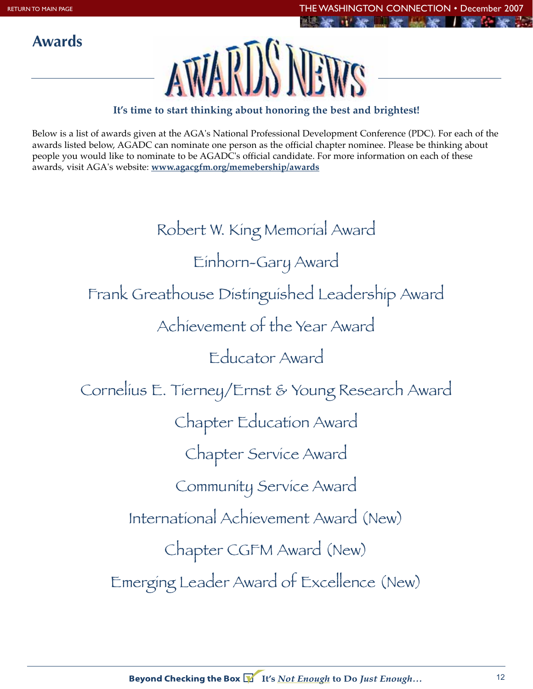**Awards**



## **It's time to start thinking about honoring the best and brightest!**

Below is a list of awards given at the AGA's National Professional Development Conference (PDC). For each of the awards listed below, AGADC can nominate one person as the official chapter nominee. Please be thinking about people you would like to nominate to be AGADC's official candidate. For more information on each of these awards, visit AGA's website: **www.agacgfm.org/memebership/awards**

> Robert W. King Memorial Award Einhorn-Gary Award Frank Greathouse Distinguished Leadership Award Achievement of the Year Award Educator Award Cornelius E. Tierney/Ernst & Young Research Award Chapter Education Award Chapter Service Award Community Service Award International Achievement Award (New) Chapter CGFM Award (New) Emerging Leader Award of Excellence (New)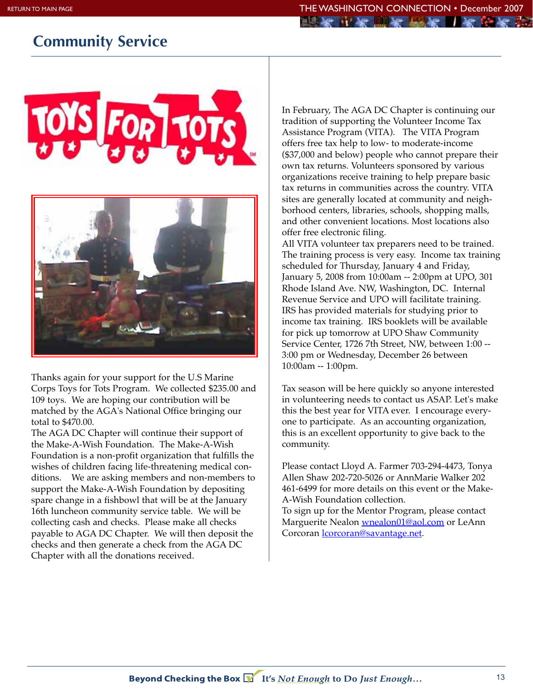# **Community Service**



Thanks again for your support for the U.S Marine Corps Toys for Tots Program. We collected \$235.00 and 109 toys. We are hoping our contribution will be matched by the AGA's National Office bringing our total to \$470.00.

The AGA DC Chapter will continue their support of the Make-A-Wish Foundation. The Make-A-Wish Foundation is a non-profit organization that fulfills the wishes of children facing life-threatening medical conditions. We are asking members and non-members to support the Make-A-Wish Foundation by depositing spare change in a fishbowl that will be at the January 16th luncheon community service table. We will be collecting cash and checks. Please make all checks payable to AGA DC Chapter. We will then deposit the checks and then generate a check from the AGA DC Chapter with all the donations received.

In February, The AGA DC Chapter is continuing our tradition of supporting the Volunteer Income Tax Assistance Program (VITA). The VITA Program offers free tax help to low- to moderate-income (\$37,000 and below) people who cannot prepare their own tax returns. Volunteers sponsored by various organizations receive training to help prepare basic tax returns in communities across the country. VITA sites are generally located at community and neighborhood centers, libraries, schools, shopping malls, and other convenient locations. Most locations also offer free electronic filing.

All VITA volunteer tax preparers need to be trained. The training process is very easy. Income tax training scheduled for Thursday, January 4 and Friday, January 5, 2008 from 10:00am -- 2:00pm at UPO, 301 Rhode Island Ave. NW, Washington, DC. Internal Revenue Service and UPO will facilitate training. IRS has provided materials for studying prior to income tax training. IRS booklets will be available for pick up tomorrow at UPO Shaw Community Service Center, 1726 7th Street, NW, between 1:00 -- 3:00 pm or Wednesday, December 26 between 10:00am -- 1:00pm.

Tax season will be here quickly so anyone interested in volunteering needs to contact us ASAP. Let's make this the best year for VITA ever. I encourage everyone to participate. As an accounting organization, this is an excellent opportunity to give back to the community.

Please contact Lloyd A. Farmer 703-294-4473, Tonya Allen Shaw 202-720-5026 or AnnMarie Walker 202 461-6499 for more details on this event or the Make-A-Wish Foundation collection.

To sign up for the Mentor Program, please contact Marguerite Nealon wnealon01@aol.com or LeAnn Corcoran *corcoran@savantage.net.*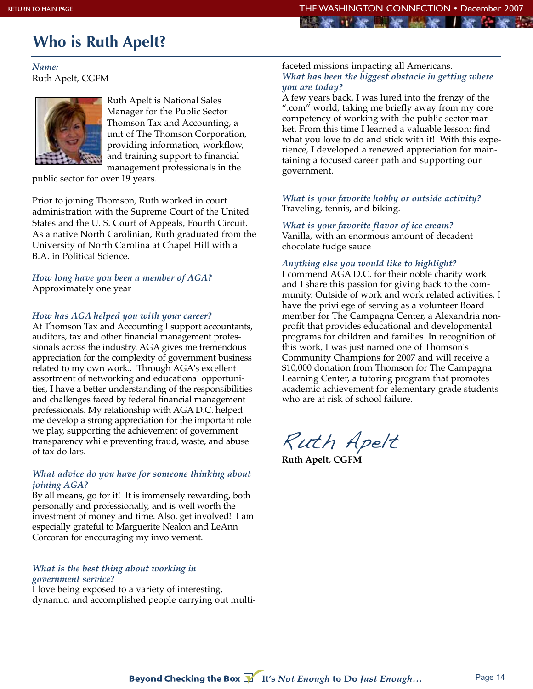# **Who is Ruth Apelt?**

*Name:* Ruth Apelt, CGFM



Ruth Apelt is National Sales Manager for the Public Sector Thomson Tax and Accounting, a unit of The Thomson Corporation, providing information, workflow, and training support to financial management professionals in the

public sector for over 19 years.

Prior to joining Thomson, Ruth worked in court administration with the Supreme Court of the United States and the U. S. Court of Appeals, Fourth Circuit. As a native North Carolinian, Ruth graduated from the University of North Carolina at Chapel Hill with a B.A. in Political Science.

*How long have you been a member of AGA?*  Approximately one year

## *How has AGA helped you with your career?*

At Thomson Tax and Accounting I support accountants, auditors, tax and other financial management professionals across the industry. AGA gives me tremendous appreciation for the complexity of government business related to my own work.. Through AGA's excellent assortment of networking and educational opportunities, I have a better understanding of the responsibilities and challenges faced by federal financial management professionals. My relationship with AGA D.C. helped me develop a strong appreciation for the important role we play, supporting the achievement of government transparency while preventing fraud, waste, and abuse of tax dollars.

## *What advice do you have for someone thinking about joining AGA?*

By all means, go for it! It is immensely rewarding, both personally and professionally, and is well worth the investment of money and time. Also, get involved! I am especially grateful to Marguerite Nealon and LeAnn Corcoran for encouraging my involvement.

#### *What is the best thing about working in government service?*

I love being exposed to a variety of interesting, dynamic, and accomplished people carrying out multi-

#### faceted missions impacting all Americans. *What has been the biggest obstacle in getting where you are today?*

have a set have the have had have

A few years back, I was lured into the frenzy of the ".com" world, taking me briefly away from my core competency of working with the public sector market. From this time I learned a valuable lesson: find what you love to do and stick with it! With this experience, I developed a renewed appreciation for maintaining a focused career path and supporting our government.

*What is your favorite hobby or outside activity?* Traveling, tennis, and biking.

#### *What is your favorite flavor of ice cream?* Vanilla, with an enormous amount of decadent

chocolate fudge sauce

## *Anything else you would like to highlight?*

I commend AGA D.C. for their noble charity work and I share this passion for giving back to the community. Outside of work and work related activities, I have the privilege of serving as a volunteer Board member for The Campagna Center, a Alexandria nonprofit that provides educational and developmental programs for children and families. In recognition of this work, I was just named one of Thomson's Community Champions for 2007 and will receive a \$10,000 donation from Thomson for The Campagna Learning Center, a tutoring program that promotes academic achievement for elementary grade students who are at risk of school failure.

Ruth Apelt

**Ruth Apelt, CGFM**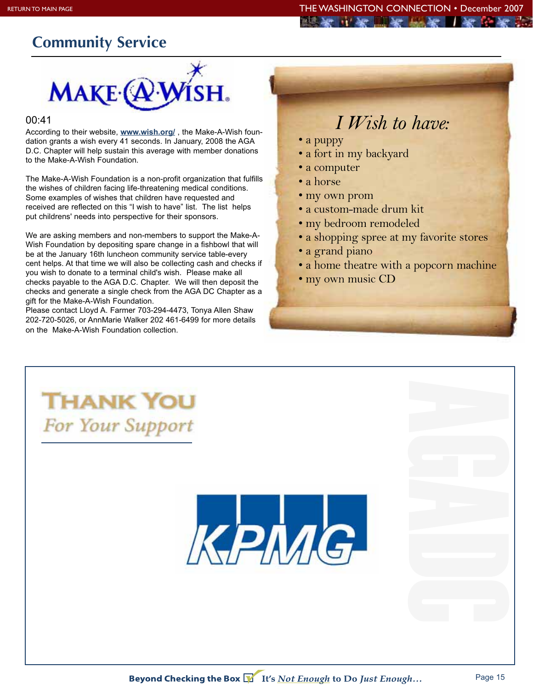# **Community Service**



#### 00:41

According to their website, **www.wish.org/** , the Make-A-Wish foundation grants a wish every 41 seconds. In January, 2008 the AGA D.C. Chapter will help sustain this average with member donations to the Make-A-Wish Foundation.

The Make-A-Wish Foundation is a non-profit organization that fulfills the wishes of children facing life-threatening medical conditions. Some examples of wishes that children have requested and received are reflected on this "I wish to have" list. The list helps put childrens' needs into perspective for their sponsors.

We are asking members and non-members to support the Make-A-Wish Foundation by depositing spare change in a fishbowl that will be at the January 16th luncheon community service table-every cent helps. At that time we will also be collecting cash and checks if you wish to donate to a terminal child's wish. Please make all checks payable to the AGA D.C. Chapter. We will then deposit the checks and generate a single check from the AGA DC Chapter as a gift for the Make-A-Wish Foundation.

Please contact Lloyd A. Farmer 703-294-4473, Tonya Allen Shaw 202-720-5026, or AnnMarie Walker 202 461-6499 for more details on the Make-A-Wish Foundation collection.

# *I Wish to have:*

- a puppy
- a fort in my backyard
- a computer
- a horse
- my own prom
- a custom-made drum kit
- my bedroom remodeled
- a shopping spree at my favorite stores
- a grand piano
- a home theatre with a popcorn machine
- my own music CD



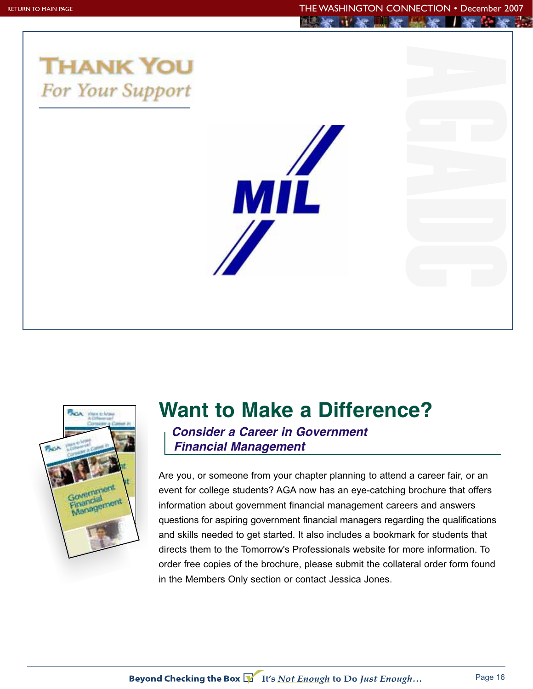



# **Want to Make a Difference?**

*Consider a Career in Government Financial Management*

Are you, or someone from your chapter planning to attend a career fair, or an event for college students? AGA now has an eye-catching brochure that offers information about government financial management careers and answers questions for aspiring government financial managers regarding the qualifications and skills needed to get started. It also includes a bookmark for students that directs them to the Tomorrow's Professionals website for more information. To order free copies of the brochure, please submit the collateral order form found in the Members Only section or contact Jessica Jones.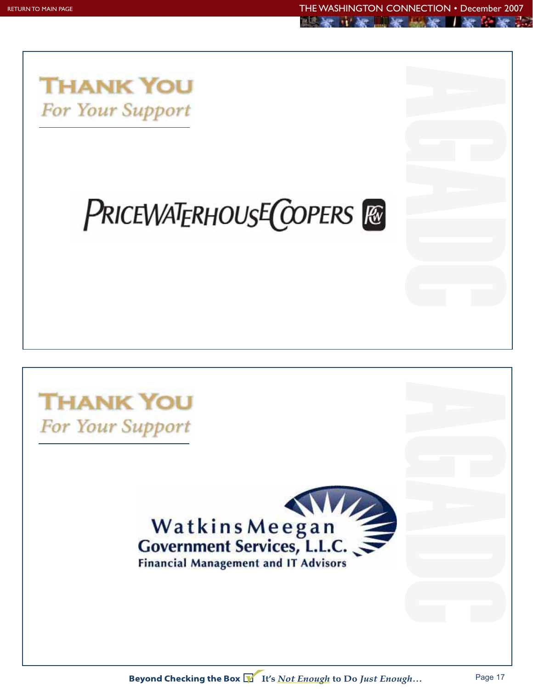

# PRICEWATERHOUSE COPERS **RE**

# **THANK YOU** For Your Support

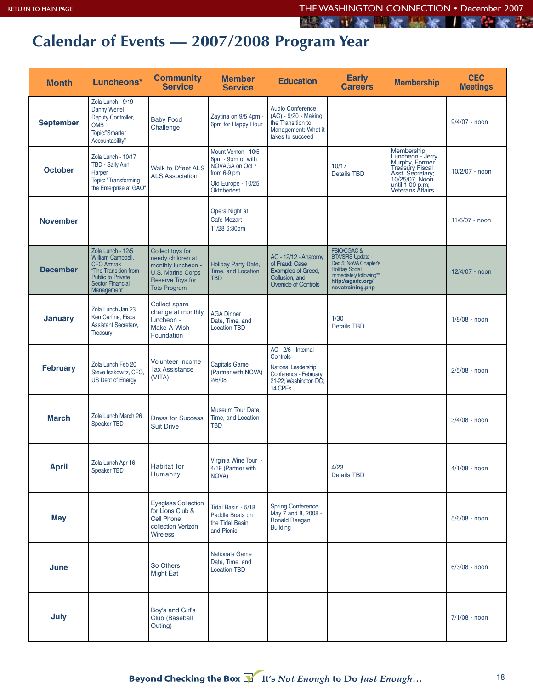医家三肉胆布尿者 一所印有的

# **Calendar of Events — 2007/2008 Program Year**

| <b>Month</b>     | Luncheons*                                                                                                                                                | <b>Community</b><br><b>Service</b>                                                                                                        | <b>Member</b><br><b>Service</b>                                                                                 | <b>Education</b>                                                                                                     | <b>Early</b><br><b>Careers</b>                                                                                                                                           | <b>Membership</b>                                                                                                                                | <b>CEC</b><br><b>Meetings</b> |
|------------------|-----------------------------------------------------------------------------------------------------------------------------------------------------------|-------------------------------------------------------------------------------------------------------------------------------------------|-----------------------------------------------------------------------------------------------------------------|----------------------------------------------------------------------------------------------------------------------|--------------------------------------------------------------------------------------------------------------------------------------------------------------------------|--------------------------------------------------------------------------------------------------------------------------------------------------|-------------------------------|
| <b>September</b> | Zola Lunch - 9/19<br>Danny Werfel<br>Deputy Controller,<br><b>OMB</b><br>Topic:"Smarter<br>Accountability"                                                | <b>Baby Food</b><br>Challenge                                                                                                             | Zaytina on 9/5 4pm -<br>6pm for Happy Hour                                                                      | Audio Conference<br>(AC) - 9/20 - Making<br>the Transition to<br>Management: What it<br>takes to succeed             |                                                                                                                                                                          |                                                                                                                                                  | $9/4/07 -$ noon               |
| <b>October</b>   | Zola Lunch - 10/17<br>TBD - Sally Ann<br>Harper<br>Topic: "Transforming<br>the Enterprise at GAO"                                                         | Walk to D'feet ALS<br><b>ALS Association</b>                                                                                              | Mount Vernon - 10/5<br>6pm - 9pm or with<br>NOVAGA on Oct 7<br>from 6-9 pm<br>Old Europe - 10/25<br>Oktoberfest |                                                                                                                      | 10/17<br><b>Details TBD</b>                                                                                                                                              | Membership<br>Luncheon - Jerry<br>Murphy, Former<br>Treasury Fiscal<br>Asst. Secretary;<br>10/25/07, Noon<br>until 1:00 p.m;<br>Veterans Affairs | 10/2/07 - noon                |
| <b>November</b>  |                                                                                                                                                           |                                                                                                                                           | Opera Night at<br>Cafe Mozart<br>11/28 6:30pm                                                                   |                                                                                                                      |                                                                                                                                                                          |                                                                                                                                                  | 11/6/07 - noon                |
| <b>December</b>  | Zola Lunch - 12/5<br>William Campbell,<br><b>CFO</b> Amtrak<br>"The Transition from<br><b>Public to Private</b><br><b>Sector Financial</b><br>Management" | Collect toys for<br>needy children at<br>monthly luncheon -<br><b>U.S. Marine Corps</b><br><b>Reserve Toys for</b><br><b>Tots Program</b> | Holiday Party Date,<br>Time, and Location<br><b>TBD</b>                                                         | <b>AC - 12/12 - Anatomy</b><br>of Fraud: Case<br>Examples of Greed,<br>Collusion, and<br><b>Override of Controls</b> | <b>FSIO/CGAC &amp;</b><br><b>BTA/SFIS Update -</b><br>Dec 5; NoVA Chapter's<br><b>Holiday Social</b><br>immediately following**<br>http://agadc.org/<br>novatraining.php |                                                                                                                                                  | 12/4/07 - noon                |
| <b>January</b>   | Zola Lunch Jan 23<br>Ken Carfine, Fiscal<br><b>Assistant Secretary,</b><br>Treasury                                                                       | <b>Collect spare</b><br>change at monthly<br>luncheon -<br>Make-A-Wish<br>Foundation                                                      | <b>AGA Dinner</b><br>Date, Time, and<br><b>Location TBD</b>                                                     |                                                                                                                      | 1/30<br><b>Details TBD</b>                                                                                                                                               |                                                                                                                                                  | $1/8/08 -$ noon               |
| <b>February</b>  | Zola Lunch Feb 20<br>Steve Isakowitz, CFO,<br><b>US Dept of Energy</b>                                                                                    | <b>Volunteer Income</b><br><b>Tax Assistance</b><br>(VITA)                                                                                | <b>Capitals Game</b><br>(Partner with NOVA)<br>2/6/08                                                           | AC - 2/6 - Internal<br>Controls<br>National Leadership<br>Conference - February<br>21-22; Washington DC;<br>14 CPEs  |                                                                                                                                                                          |                                                                                                                                                  | $2/5/08 -$ noon               |
| <b>March</b>     | Zola Lunch March 26<br><b>Speaker TBD</b>                                                                                                                 | <b>Dress for Success</b><br><b>Suit Drive</b>                                                                                             | Museum Tour Date.<br>Time, and Location<br><b>TBD</b>                                                           |                                                                                                                      |                                                                                                                                                                          |                                                                                                                                                  | $3/4/08 -$ noon               |
| <b>April</b>     | Zola Lunch Apr 16<br>Speaker TBD                                                                                                                          | Habitat for<br>Humanity                                                                                                                   | Virginia Wine Tour -<br>4/19 (Partner with<br>NOVA)                                                             |                                                                                                                      | 4/23<br><b>Details TBD</b>                                                                                                                                               |                                                                                                                                                  | $4/1/08 -$ noon               |
| <b>May</b>       |                                                                                                                                                           | <b>Eyeglass Collection</b><br>for Lions Club &<br><b>Cell Phone</b><br>collection Verizon<br><b>Wireless</b>                              | Tidal Basin - 5/18<br>Paddle Boats on<br>the Tidal Basin<br>and Picnic                                          | <b>Spring Conference</b><br>May 7 and 8, 2008 -<br>Ronald Reagan<br><b>Building</b>                                  |                                                                                                                                                                          |                                                                                                                                                  | $5/6/08 -$ noon               |
| June             |                                                                                                                                                           | So Others<br><b>Might Eat</b>                                                                                                             | <b>Nationals Game</b><br>Date, Time, and<br><b>Location TBD</b>                                                 |                                                                                                                      |                                                                                                                                                                          |                                                                                                                                                  | $6/3/08 -$ noon               |
| July             |                                                                                                                                                           | Boy's and Girl's<br>Club (Baseball<br>Outing)                                                                                             |                                                                                                                 |                                                                                                                      |                                                                                                                                                                          |                                                                                                                                                  | $7/1/08 -$ noon               |